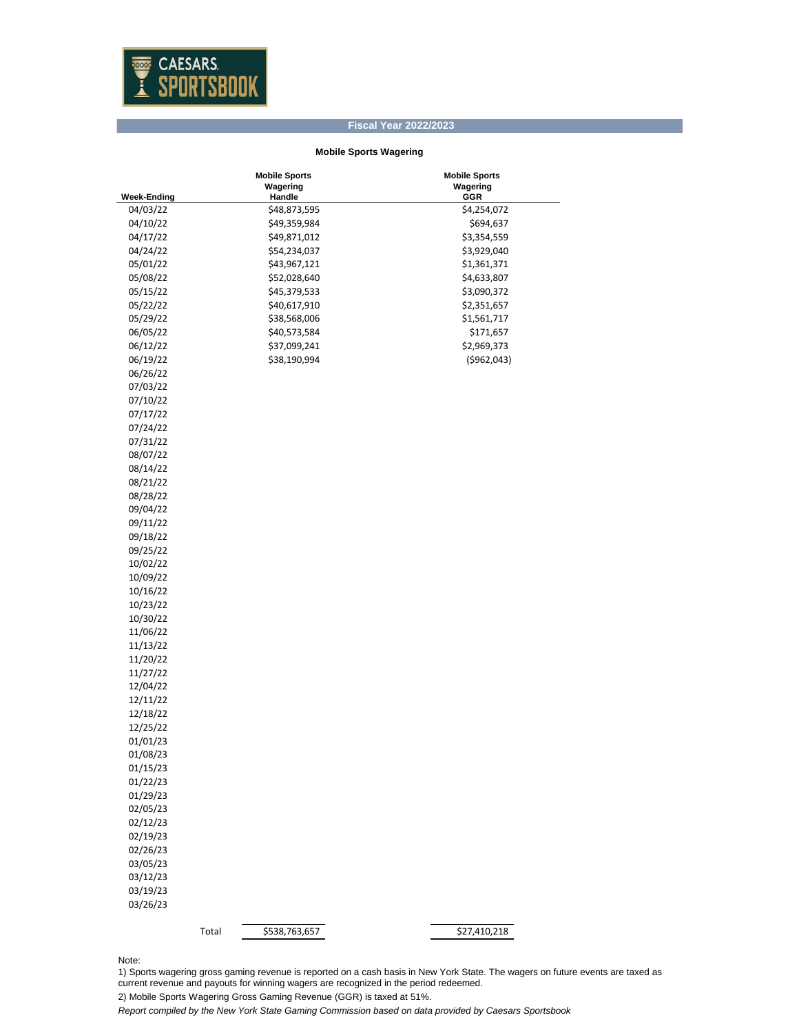

## **Fiscal Year 2022/2023**

## **Mobile Sports Wagering**

|                      | <b>Mobile Sports</b>   | <b>Mobile Sports</b> |
|----------------------|------------------------|----------------------|
|                      | Wagering               | Wagering             |
| <b>Week-Ending</b>   | Handle                 | GGR                  |
| 04/03/22             | \$48,873,595           | \$4,254,072          |
| 04/10/22             | \$49,359,984           | \$694,637            |
| 04/17/22             | \$49,871,012           | \$3,354,559          |
| 04/24/22             | \$54,234,037           | \$3,929,040          |
| 05/01/22             | \$43,967,121           | \$1,361,371          |
| 05/08/22             | \$52,028,640           | \$4,633,807          |
| 05/15/22             | \$45,379,533           | \$3,090,372          |
| 05/22/22             | \$40,617,910           | \$2,351,657          |
| 05/29/22             | \$38,568,006           | \$1,561,717          |
| 06/05/22             | \$40,573,584           | \$171,657            |
| 06/12/22             | \$37,099,241           | \$2,969,373          |
| 06/19/22             | \$38,190,994           | ( \$962, 043)        |
| 06/26/22             |                        |                      |
| 07/03/22             |                        |                      |
| 07/10/22             |                        |                      |
| 07/17/22             |                        |                      |
| 07/24/22             |                        |                      |
| 07/31/22             |                        |                      |
| 08/07/22             |                        |                      |
| 08/14/22             |                        |                      |
| 08/21/22             |                        |                      |
| 08/28/22             |                        |                      |
| 09/04/22             |                        |                      |
| 09/11/22             |                        |                      |
| 09/18/22             |                        |                      |
| 09/25/22             |                        |                      |
| 10/02/22             |                        |                      |
| 10/09/22             |                        |                      |
| 10/16/22             |                        |                      |
| 10/23/22             |                        |                      |
| 10/30/22             |                        |                      |
|                      |                        |                      |
| 11/06/22             |                        |                      |
| 11/13/22<br>11/20/22 |                        |                      |
|                      |                        |                      |
| 11/27/22             |                        |                      |
| 12/04/22             |                        |                      |
| 12/11/22             |                        |                      |
| 12/18/22             |                        |                      |
| 12/25/22             |                        |                      |
| 01/01/23             |                        |                      |
| 01/08/23             |                        |                      |
| 01/15/23             |                        |                      |
| 01/22/23             |                        |                      |
| 01/29/23             |                        |                      |
| 02/05/23             |                        |                      |
| 02/12/23             |                        |                      |
| 02/19/23             |                        |                      |
| 02/26/23             |                        |                      |
| 03/05/23             |                        |                      |
| 03/12/23             |                        |                      |
| 03/19/23             |                        |                      |
| 03/26/23             |                        |                      |
|                      |                        |                      |
|                      | \$538,763,657<br>Total | \$27,410,218         |

Note:

1) Sports wagering gross gaming revenue is reported on a cash basis in New York State. The wagers on future events are taxed as current revenue and payouts for winning wagers are recognized in the period redeemed.

2) Mobile Sports Wagering Gross Gaming Revenue (GGR) is taxed at 51%.

*Report compiled by the New York State Gaming Commission based on data provided by Caesars Sportsbook*